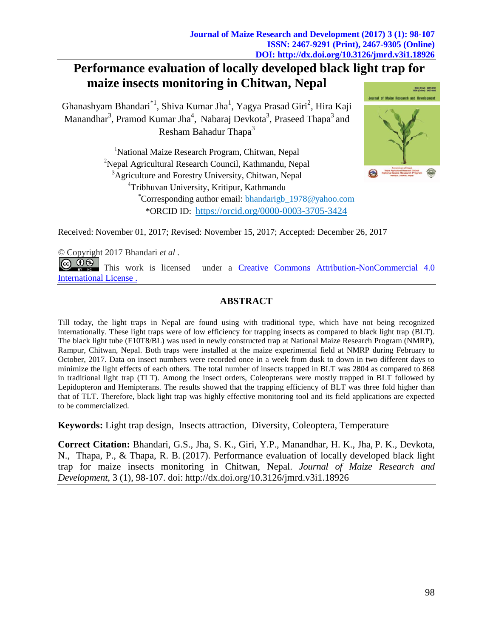# **Performance evaluation of locally developed black light trap for maize insects monitoring in Chitwan, Nepal**

Ghanashyam Bhandari<sup>\*1</sup>, Shiva Kumar Jha<sup>1</sup>, Yagya Prasad Giri<sup>2</sup>, Hira Kaji Manandhar<sup>3</sup>, Pramod Kumar Jha<sup>4</sup>, Nabaraj Devkota<sup>3</sup>, Praseed Thapa<sup>3</sup> and Resham Bahadur Thapa<sup>3</sup>

> <sup>1</sup>National Maize Research Program, Chitwan, Nepal <sup>2</sup>Nepal Agricultural Research Council, Kathmandu, Nepal <sup>3</sup>Agriculture and Forestry University, Chitwan, Nepal <sup>4</sup>Tribhuvan University, Kritipur, Kathmandu \*Corresponding author email: bhandarigb\_1978@yahoo.com \*ORCID ID: https://orcid.org/0000-0003-3705-3424



Received: November 01, 2017; Revised: November 15, 2017; Accepted: December 26, 2017

*©* Copyright 2017 Bhandari *et al .*  $\circledcirc$   $\circledcirc$ This work is licensed under a [Creative Commons Attribution-NonCommercial 4.0](https://creativecommons.org/licenses/by-nc/4.0/legalcode)  [International](https://creativecommons.org/licenses/by-nc/4.0/legalcode) License .

## **ABSTRACT**

Till today, the light traps in Nepal are found using with traditional type, which have not being recognized internationally. These light traps were of low efficiency for trapping insects as compared to black light trap (BLT). The black light tube (F10T8/BL) was used in newly constructed trap at National Maize Research Program (NMRP), Rampur, Chitwan, Nepal. Both traps were installed at the maize experimental field at NMRP during February to October, 2017. Data on insect numbers were recorded once in a week from dusk to down in two different days to minimize the light effects of each others. The total number of insects trapped in BLT was 2804 as compared to 868 in traditional light trap (TLT). Among the insect orders, Coleopterans were mostly trapped in BLT followed by Lepidopteron and Hemipterans. The results showed that the trapping efficiency of BLT was three fold higher than that of TLT. Therefore, black light trap was highly effective monitoring tool and its field applications are expected to be commercialized.

**Keywords:** Light trap design, Insects attraction, Diversity, Coleoptera, Temperature

**Correct Citation:** Bhandari, G.S., Jha, S. K., Giri, Y.P., Manandhar, H. K., Jha, P. K., Devkota, N., Thapa, P., & Thapa, R. B. (2017). Performance evaluation of locally developed black light trap for maize insects monitoring in Chitwan, Nepal. *Journal of Maize Research and Development*, 3 (1), 98-107. doi: <http://dx.doi.org/10.3126/jmrd.v3i1.18926>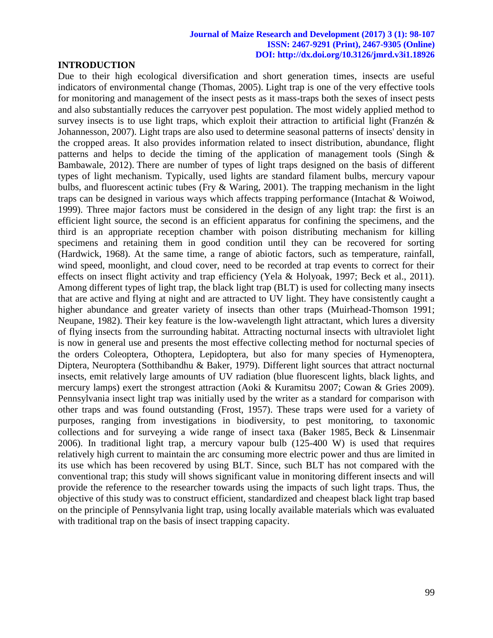## **INTRODUCTION**

Due to their high ecological diversification and short generation times, insects are useful indicators of environmental change (Thomas, 2005). Light trap is one of the very effective tools for monitoring and management of the insect pests as it mass-traps both the sexes of insect pests and also substantially reduces the carryover pest population. The most widely applied method to survey insects is to use light traps, which exploit their attraction to artificial light (Franzén & Johannesson, 2007). Light traps are also used to determine seasonal patterns of insects' density in the cropped areas. It also provides information related to insect distribution, abundance, flight patterns and helps to decide the timing of the application of management tools (Singh & Bambawale, 2012). There are number of types of light traps designed on the basis of different types of light mechanism. Typically, used lights are standard filament bulbs, mercury vapour bulbs, and fluorescent actinic tubes (Fry & Waring, 2001). The trapping mechanism in the light traps can be designed in various ways which affects trapping performance (Intachat & Woiwod, 1999). Three major factors must be considered in the design of any light trap: the first is an efficient light source, the second is an efficient apparatus for confining the specimens, and the third is an appropriate reception chamber with poison distributing mechanism for killing specimens and retaining them in good condition until they can be recovered for sorting (Hardwick, 1968). At the same time, a range of abiotic factors, such as temperature, rainfall, wind speed, moonlight, and cloud cover, need to be recorded at trap events to correct for their effects on insect flight activity and trap efficiency (Yela & Holyoak, 1997; Beck et al., 2011). Among different types of light trap, the black light trap (BLT) is used for collecting many insects that are active and flying at night and are attracted to UV light. They have consistently caught a higher abundance and greater variety of insects than other traps (Muirhead-Thomson 1991; Neupane, 1982). Their key feature is the low-wavelength light attractant, which lures a diversity of flying insects from the surrounding habitat. Attracting nocturnal insects with ultraviolet light is now in general use and presents the most effective collecting method for nocturnal species of the orders Coleoptera, Othoptera, Lepidoptera, but also for many species of Hymenoptera, Diptera, Neuroptera (Sotthibandhu & Baker, 1979). Different light sources that attract nocturnal insects, emit relatively large amounts of UV radiation (blue fluorescent lights, black lights, and mercury lamps) exert the strongest attraction (Aoki & Kuramitsu 2007; Cowan & Gries 2009). Pennsylvania insect light trap was initially used by the writer as a standard for comparison with other traps and was found outstanding (Frost, 1957). These traps were used for a variety of purposes, ranging from investigations in biodiversity, to pest monitoring, to taxonomic collections and for surveying a wide range of insect taxa (Baker 1985, Beck & Linsenmair 2006). In traditional light trap, a mercury vapour bulb (125-400 W) is used that requires relatively high current to maintain the arc consuming more electric power and thus are limited in its use which has been recovered by using BLT. Since, such BLT has not compared with the conventional trap; this study will shows significant value in monitoring different insects and will provide the reference to the researcher towards using the impacts of such light traps. Thus, the objective of this study was to construct efficient, standardized and cheapest black light trap based on the principle of Pennsylvania light trap, using locally available materials which was evaluated with traditional trap on the basis of insect trapping capacity.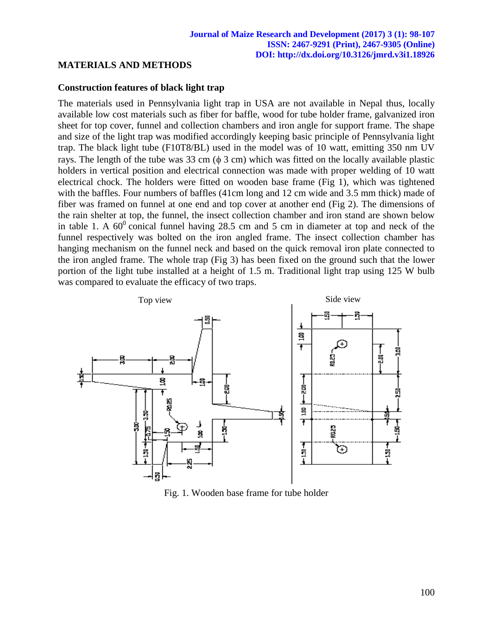## **MATERIALS AND METHODS**

## **Construction features of black light trap**

The materials used in Pennsylvania light trap in USA are not available in Nepal thus, locally available low cost materials such as fiber for baffle, wood for tube holder frame, galvanized iron sheet for top cover, funnel and collection chambers and iron angle for support frame. The shape and size of the light trap was modified accordingly keeping basic principle of Pennsylvania light trap. The black light tube (F10T8/BL) used in the model was of 10 watt, emitting 350 nm UV rays. The length of the tube was 33 cm  $(\phi \ 3 \ cm)$  which was fitted on the locally available plastic holders in vertical position and electrical connection was made with proper welding of 10 watt electrical chock. The holders were fitted on wooden base frame (Fig 1), which was tightened with the baffles. Four numbers of baffles (41cm long and 12 cm wide and 3.5 mm thick) made of fiber was framed on funnel at one end and top cover at another end (Fig 2). The dimensions of the rain shelter at top, the funnel, the insect collection chamber and iron stand are shown below in table 1. A  $60^{\circ}$  conical funnel having 28.5 cm and 5 cm in diameter at top and neck of the funnel respectively was bolted on the iron angled frame. The insect collection chamber has hanging mechanism on the funnel neck and based on the quick removal iron plate connected to the iron angled frame. The whole trap (Fig 3) has been fixed on the ground such that the lower portion of the light tube installed at a height of 1.5 m. Traditional light trap using 125 W bulb was compared to evaluate the efficacy of two traps.



Fig. 1. Wooden base frame for tube holder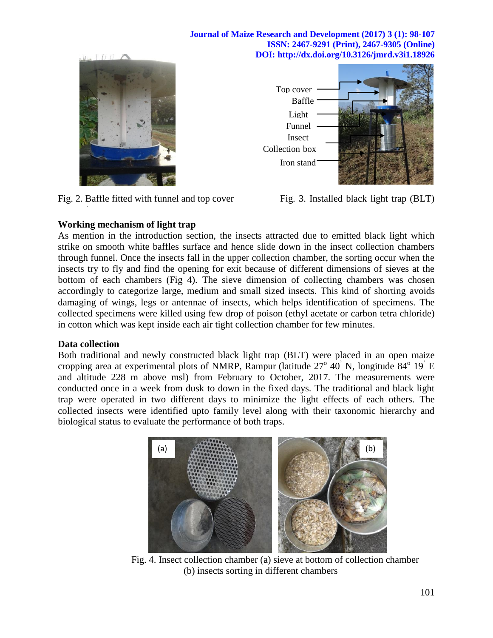

Fig. 2. Baffle fitted with funnel and top cover Fig. 3. Installed black light trap (BLT)



## **Working mechanism of light trap**

As mention in the introduction section, the insects attracted due to emitted black light which strike on smooth white baffles surface and hence slide down in the insect collection chambers through funnel. Once the insects fall in the upper collection chamber, the sorting occur when the insects try to fly and find the opening for exit because of different dimensions of sieves at the bottom of each chambers (Fig 4). The sieve dimension of collecting chambers was chosen accordingly to categorize large, medium and small sized insects. This kind of shorting avoids damaging of wings, legs or antennae of insects, which helps identification of specimens. The collected specimens were killed using few drop of poison (ethyl acetate or carbon tetra chloride) in cotton which was kept inside each air tight collection chamber for few minutes.

## **Data collection**

,

Both traditional and newly constructed black light trap (BLT) were placed in an open maize cropping area at experimental plots of NMRP, Rampur (latitude  $27^{\circ}$  40<sup>'</sup> N, longitude  $84^{\circ}$  19<sup>'</sup> E and altitude 228 m above msl) from February to October, 2017. The measurements were conducted once in a week from dusk to down in the fixed days. The traditional and black light trap were operated in two different days to minimize the light effects of each others. The collected insects were identified upto family level along with their taxonomic hierarchy and biological status to evaluate the performance of both traps.



Fig. 4. Insect collection chamber (a) sieve at bottom of collection chamber (b) insects sorting in different chambers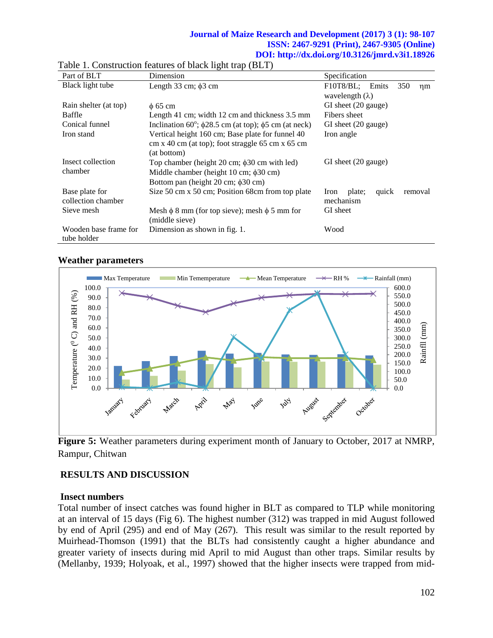| Part of BLT           | Dimension                                                                    | Specification                      |  |  |
|-----------------------|------------------------------------------------------------------------------|------------------------------------|--|--|
| Black light tube      | Length 33 cm; $\phi$ 3 cm                                                    | F10T8/BL; Emits<br>350<br>$\eta$ m |  |  |
|                       |                                                                              | wavelength $(\lambda)$             |  |  |
| Rain shelter (at top) | $\phi$ 65 cm                                                                 | GI sheet (20 gauge)                |  |  |
| Baffle                | Length 41 cm; width 12 cm and thickness 3.5 mm                               | Fibers sheet                       |  |  |
| Conical funnel        | Inclination 60 <sup>°</sup> ; $\phi$ 28.5 cm (at top); $\phi$ 5 cm (at neck) | GI sheet (20 gauge)                |  |  |
| Iron stand            | Vertical height 160 cm; Base plate for funnel 40                             | Iron angle                         |  |  |
|                       | cm x 40 cm (at top); foot straggle 65 cm x 65 cm                             |                                    |  |  |
|                       | (at bottom)                                                                  |                                    |  |  |
| Insect collection     | Top chamber (height 20 cm; $\phi$ 30 cm with led)                            | GI sheet (20 gauge)                |  |  |
| chamber               | Middle chamber (height $10 \text{ cm}$ ; $\phi 30 \text{ cm}$ )              |                                    |  |  |
|                       | Bottom pan (height 20 cm; φ30 cm)                                            |                                    |  |  |
| Base plate for        | Size 50 cm x 50 cm; Position 68 cm from top plate                            | quick<br>removal<br>plate;<br>Iron |  |  |
| collection chamber    |                                                                              | mechanism                          |  |  |
| Sieve mesh            | Mesh $\phi$ 8 mm (for top sieve); mesh $\phi$ 5 mm for                       | GI sheet                           |  |  |
|                       | (middle sieve)                                                               |                                    |  |  |
| Wooden base frame for | Dimension as shown in fig. 1.                                                | Wood                               |  |  |
| tube holder           |                                                                              |                                    |  |  |

|  | Table 1. Construction features of black light trap (BLT) |  |  |
|--|----------------------------------------------------------|--|--|
|  |                                                          |  |  |

#### Max Temperature Min Tememperature  $\longrightarrow$  Mean Temperature  $\longrightarrow$  RH %  $\longrightarrow$  Rainfall (mm) 100.0 600.0 Temperature ( $^0$ C) and RH (%)  $^{\circ}$  C) and RH (%) 550.0 90.0 500.0 80.0 450.0 70.0 400.0 Rainfll (mm) 60.0 Rainfll (mm) 350.0 50.0 300.0 250.0 40.0 Temperature ( 200.0 30.0 150.0 20.0 100.0 10.0 50.0 0.0 0.0 APIL September March June October August January February Mex **hity**

### **Weather parameters**

**Figure 5:** Weather parameters during experiment month of January to October, 2017 at NMRP, Rampur, Chitwan

## **RESULTS AND DISCUSSION**

## **Insect numbers**

Total number of insect catches was found higher in BLT as compared to TLP while monitoring at an interval of 15 days (Fig 6). The highest number (312) was trapped in mid August followed by end of April (295) and end of May (267). This result was similar to the result reported by Muirhead-Thomson (1991) that the BLTs had consistently caught a higher abundance and greater variety of insects during mid April to mid August than other traps. Similar results by (Mellanby, 1939; Holyoak, et al., 1997) showed that the higher insects were trapped from mid-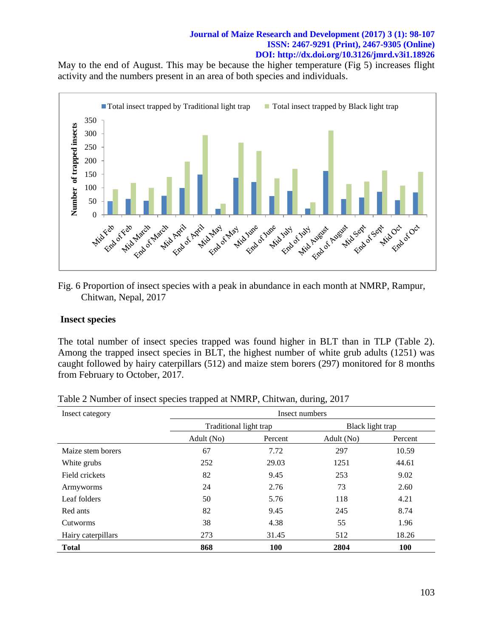May to the end of August. This may be because the higher temperature (Fig 5) increases flight activity and the numbers present in an area of both species and individuals.



Fig. 6 Proportion of insect species with a peak in abundance in each month at NMRP, Rampur, Chitwan, Nepal, 2017

## **Insect species**

The total number of insect species trapped was found higher in BLT than in TLP (Table 2). Among the trapped insect species in BLT, the highest number of white grub adults (1251) was caught followed by hairy caterpillars (512) and maize stem borers (297) monitored for 8 months from February to October, 2017.

| Insect category    | Insect numbers         |            |                  |            |
|--------------------|------------------------|------------|------------------|------------|
|                    | Traditional light trap |            | Black light trap |            |
|                    | Adult (No)<br>Percent  |            | Adult (No)       | Percent    |
| Maize stem borers  | 67                     | 7.72       | 297              | 10.59      |
| White grubs        | 252                    | 29.03      | 1251             | 44.61      |
| Field crickets     | 82                     | 9.45       | 253              | 9.02       |
| Armyworms          | 24                     | 2.76       | 73               | 2.60       |
| Leaf folders       | 50                     | 5.76       | 118              | 4.21       |
| Red ants           | 82                     | 9.45       | 245              | 8.74       |
| Cutworms           | 38                     | 4.38       | 55               | 1.96       |
| Hairy caterpillars | 273                    | 31.45      | 512              | 18.26      |
| <b>Total</b>       | 868                    | <b>100</b> | 2804             | <b>100</b> |

| Table 2 Number of insect species trapped at NMRP, Chitwan, during, 2017 |
|-------------------------------------------------------------------------|
|-------------------------------------------------------------------------|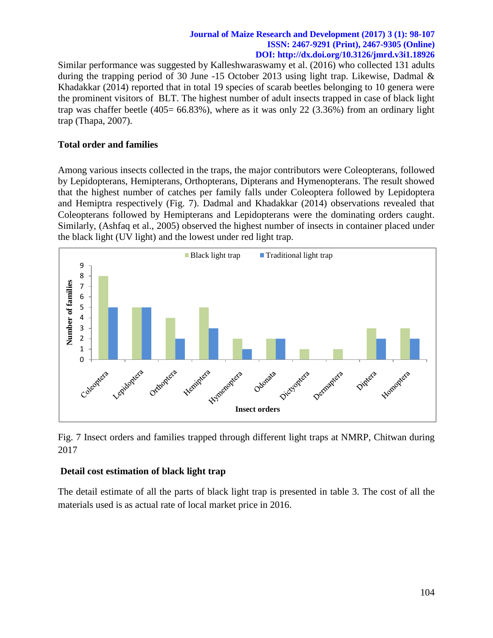Similar performance was suggested by [Kalleshwaraswamy](http://www.sciencedirect.com/science/article/pii/S1226861515300893#!) et al. (2016) who collected 131 adults during the trapping period of 30 June -15 October 2013 using light trap. Likewise, Dadmal & Khadakkar (2014) reported that in total 19 species of scarab beetles belonging to 10 genera were the prominent visitors of BLT. The highest number of adult insects trapped in case of black light trap was chaffer beetle  $(405= 66.83\%)$ , where as it was only 22  $(3.36\%)$  from an ordinary light trap (Thapa, 2007).

## **Total order and families**

Among various insects collected in the traps, the major contributors were Coleopterans, followed by Lepidopterans, Hemipterans, Orthopterans, Dipterans and Hymenopterans. The result showed that the highest number of catches per family falls under Coleoptera followed by Lepidoptera and Hemiptra respectively (Fig. 7). Dadmal and Khadakkar (2014) observations revealed that Coleopterans followed by Hemipterans and Lepidopterans were the dominating orders caught. Similarly, (Ashfaq et al., 2005) observed the highest number of insects in container placed under the black light (UV light) and the lowest under red light trap.



Fig. 7 Insect orders and families trapped through different light traps at NMRP, Chitwan during 2017

## **Detail cost estimation of black light trap**

The detail estimate of all the parts of black light trap is presented in table 3. The cost of all the materials used is as actual rate of local market price in 2016.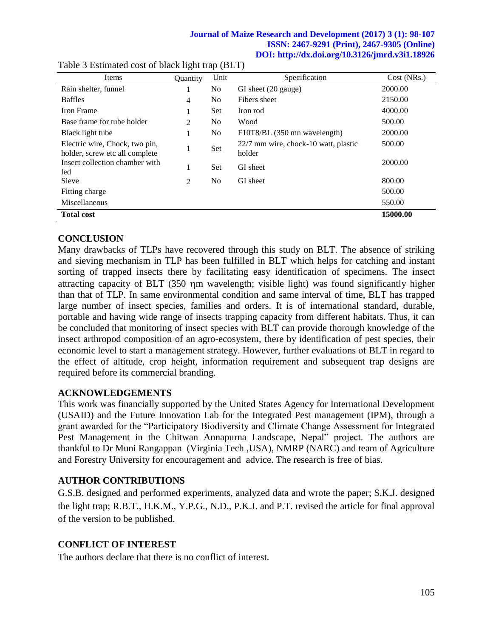| Items                                                            | <b>Ouantity</b> | Unit           | Specification                                  | Cost (NRs.) |
|------------------------------------------------------------------|-----------------|----------------|------------------------------------------------|-------------|
| Rain shelter, funnel                                             |                 | No.            | GI sheet (20 gauge)                            | 2000.00     |
| <b>Baffles</b>                                                   | 4               | N <sub>0</sub> | Fibers sheet                                   | 2150.00     |
| Iron Frame                                                       |                 | Set            | Iron rod                                       | 4000.00     |
| Base frame for tube holder                                       | 2               | N <sub>0</sub> | Wood                                           | 500.00      |
| Black light tube                                                 |                 | No.            | F10T8/BL (350 mn wavelength)                   | 2000.00     |
| Electric wire, Chock, two pin,<br>holder, screw etc all complete | 1               | Set            | 22/7 mm wire, chock-10 watt, plastic<br>holder | 500.00      |
| Insect collection chamber with<br>led                            |                 | <b>Set</b>     | GI sheet                                       | 2000.00     |
| <b>Sieve</b>                                                     | 2               | N <sub>0</sub> | GI sheet                                       | 800.00      |
| Fitting charge                                                   |                 |                |                                                | 500.00      |
| Miscellaneous                                                    |                 |                |                                                | 550.00      |
| <b>Total cost</b>                                                |                 |                |                                                | 15000.00    |

### Table 3 Estimated cost of black light trap (BLT)

## **CONCLUSION**

Many drawbacks of TLPs have recovered through this study on BLT. The absence of striking and sieving mechanism in TLP has been fulfilled in BLT which helps for catching and instant sorting of trapped insects there by facilitating easy identification of specimens. The insect attracting capacity of BLT (350 m wavelength; visible light) was found significantly higher than that of TLP. In same environmental condition and same interval of time, BLT has trapped large number of insect species, families and orders. It is of international standard, durable, portable and having wide range of insects trapping capacity from different habitats. Thus, it can be concluded that monitoring of insect species with BLT can provide thorough knowledge of the insect arthropod composition of an agro-ecosystem, there by identification of pest species, their economic level to start a management strategy. However, further evaluations of BLT in regard to the effect of altitude, crop height, information requirement and subsequent trap designs are required before its commercial branding.

## **ACKNOWLEDGEMENTS**

This work was financially supported by the United States Agency for International Development (USAID) and the Future Innovation Lab for the Integrated Pest management (IPM), through a grant awarded for the "Participatory Biodiversity and Climate Change Assessment for Integrated Pest Management in the Chitwan Annapurna Landscape, Nepal" project. The authors are thankful to Dr Muni Rangappan (Virginia Tech ,USA), NMRP (NARC) and team of Agriculture and Forestry University for encouragement and advice. The research is free of bias.

## **AUTHOR CONTRIBUTIONS**

G.S.B. designed and performed experiments, analyzed data and wrote the paper; S.K.J. designed the light trap; R.B.T., H.K.M., Y.P.G., N.D., P.K.J. and P.T. revised the article for final approval of the version to be published.

## **CONFLICT OF INTEREST**

The authors declare that there is no conflict of interest.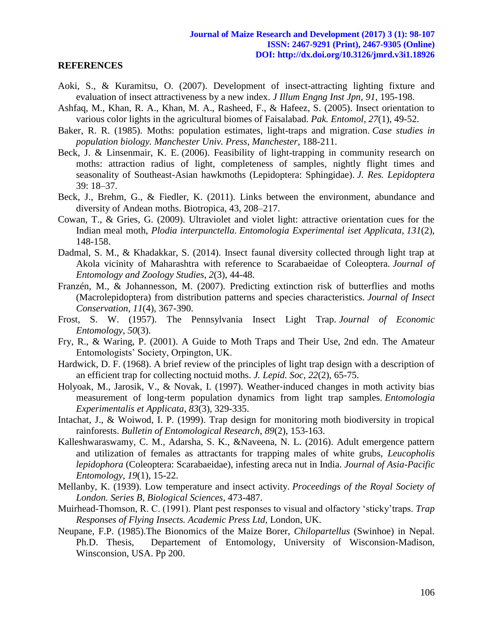#### **REFERENCES**

- Aoki, S., & Kuramitsu, O. (2007). Development of insect-attracting lighting fixture and evaluation of insect attractiveness by a new index. *J Illum Engng Inst Jpn*, *91*, 195-198.
- Ashfaq, M., Khan, R. A., Khan, M. A., Rasheed, F., & Hafeez, S. (2005). Insect orientation to various color lights in the agricultural biomes of Faisalabad. *Pak. Entomol*, *27*(1), 49-52.
- Baker, R. R. (1985). Moths: population estimates, light-traps and migration. *Case studies in population biology. Manchester Univ. Press, Manchester*, 188-211.
- Beck, J. & Linsenmair, K. E. (2006). Feasibility of light-trapping in community research on moths: attraction radius of light, completeness of samples, nightly flight times and seasonality of Southeast-Asian hawkmoths (Lepidoptera: Sphingidae). *J. Res. Lepidoptera* 39: 18–37.
- Beck, J., Brehm, G., & Fiedler, K. (2011). Links between the environment, abundance and diversity of Andean moths. Biotropica, 43, 208–217.
- Cowan, T., & Gries, G. (2009). Ultraviolet and violet light: attractive orientation cues for the Indian meal moth, *Plodia interpunctella*. *Entomologia Experimental iset Applicata*, *131*(2), 148-158.
- Dadmal, S. M., & Khadakkar, S. (2014). Insect faunal diversity collected through light trap at Akola vicinity of Maharashtra with reference to Scarabaeidae of Coleoptera. *Journal of Entomology and Zoology Studies*, *2*(3), 44-48.
- Franzén, M., & Johannesson, M. (2007). Predicting extinction risk of butterflies and moths (Macrolepidoptera) from distribution patterns and species characteristics. *Journal of Insect Conservation*, *11*(4), 367-390.
- Frost, S. W. (1957). The Pennsylvania Insect Light Trap. *Journal of Economic Entomology*, *50*(3).
- Fry, R., & Waring, P. (2001). A Guide to Moth Traps and Their Use, 2nd edn. The Amateur Entomologists" Society, Orpington, UK.
- Hardwick, D. F. (1968). A brief review of the principles of light trap design with a description of an efficient trap for collecting noctuid moths. *J. Lepid. Soc*, *22*(2), 65-75.
- Holyoak, M., Jarosik, V., & Novak, I. (1997). Weather‐induced changes in moth activity bias measurement of long‐term population dynamics from light trap samples. *Entomologia Experimentalis et Applicata*, *83*(3), 329-335.
- Intachat, J., & Woiwod, I. P. (1999). Trap design for monitoring moth biodiversity in tropical rainforests. *Bulletin of Entomological Research*, *89*(2), 153-163.
- Kalleshwaraswamy, C. M., Adarsha, S. K., &Naveena, N. L. (2016). Adult emergence pattern and utilization of females as attractants for trapping males of white grubs, *Leucopholis lepidophora* (Coleoptera: Scarabaeidae), infesting areca nut in India. *Journal of Asia-Pacific Entomology*, *19*(1), 15-22.
- Mellanby, K. (1939). Low temperature and insect activity. *Proceedings of the Royal Society of London. Series B, Biological Sciences*, 473-487.
- Muirhead-Thomson, R. C. (1991). Plant pest responses to visual and olfactory "sticky"traps. *Trap Responses of Flying Insects. Academic Press Ltd,* London, UK.
- Neupane, F.P. (1985).The Bionomics of the Maize Borer, *Chilopartellus* (Swinhoe) in Nepal. Ph.D. Thesis, Departement of Entomology, University of Wisconsion-Madison, Winsconsion, USA. Pp 200.